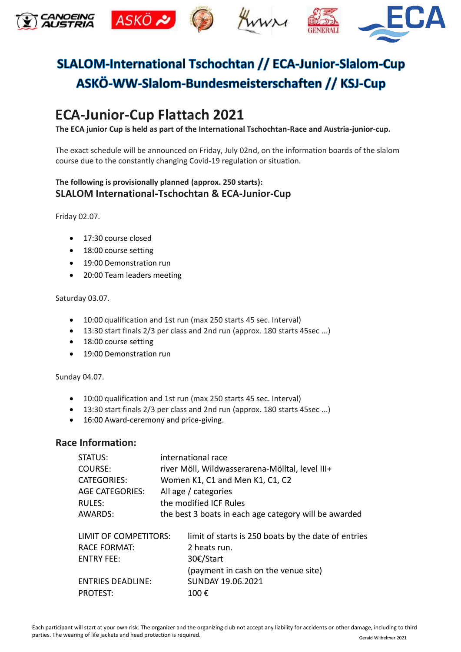

## SLALOM-International Tschochtan // ECA-Junior-Slalom-Cup ASKÖ-WW-Slalom-Bundesmeisterschaften // KSJ-Cup

### **ECA-Junior-Cup Flattach 2021**

**The ECA junior Cup is held as part of the International Tschochtan-Race and Austria-junior-cup.** 

The exact schedule will be announced on Friday, July 02nd, on the information boards of the slalom course due to the constantly changing Covid-19 regulation or situation.

#### **The following is provisionally planned (approx. 250 starts): SLALOM International-Tschochtan & ECA-Junior-Cup**

Friday 02.07.

- 17:30 course closed
- 18:00 course setting
- 19:00 Demonstration run
- 20:00 Team leaders meeting

#### Saturday 03.07.

- 10:00 qualification and 1st run (max 250 starts 45 sec. Interval)
- 13:30 start finals 2/3 per class and 2nd run (approx. 180 starts 45sec ...)
- 18:00 course setting
- 19:00 Demonstration run

Sunday 04.07.

- 10:00 qualification and 1st run (max 250 starts 45 sec. Interval)
- 13:30 start finals 2/3 per class and 2nd run (approx. 180 starts 45sec ...)
- 16:00 Award-ceremony and price-giving.

#### **Race Information:**

| STATUS:                      |                                                 | international race                                    |  |  |  |  |
|------------------------------|-------------------------------------------------|-------------------------------------------------------|--|--|--|--|
| COURSE:                      | river Möll, Wildwasserarena-Mölltal, level III+ |                                                       |  |  |  |  |
| <b>CATEGORIES:</b>           | Women K1, C1 and Men K1, C1, C2                 |                                                       |  |  |  |  |
| <b>AGE CATEGORIES:</b>       | All age / categories                            |                                                       |  |  |  |  |
| RULES:                       | the modified ICF Rules                          |                                                       |  |  |  |  |
| AWARDS:                      |                                                 | the best 3 boats in each age category will be awarded |  |  |  |  |
| <b>LIMIT OF COMPETITORS:</b> |                                                 | limit of starts is 250 boats by the date of entries   |  |  |  |  |
| <b>RACE FORMAT:</b>          |                                                 | 2 heats run.                                          |  |  |  |  |
| <b>ENTRY FEE:</b>            |                                                 | 30€/Start                                             |  |  |  |  |
|                              |                                                 | (payment in cash on the venue site)                   |  |  |  |  |
| <b>ENTRIES DEADLINE:</b>     |                                                 | SUNDAY 19.06.2021                                     |  |  |  |  |
| <b>PROTEST:</b>              |                                                 | 100€                                                  |  |  |  |  |
|                              |                                                 |                                                       |  |  |  |  |